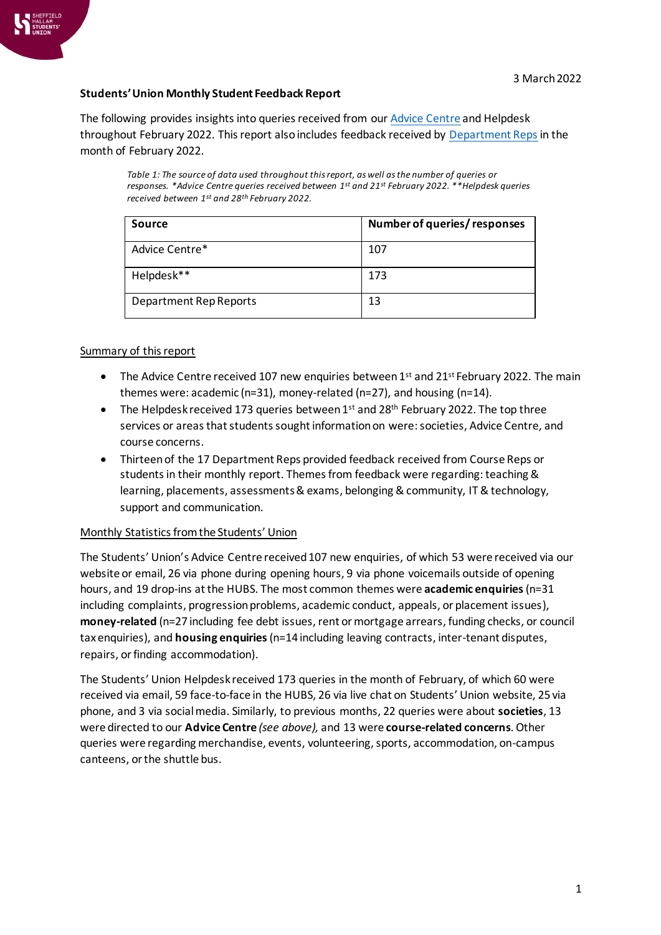

## **Students' Union Monthly Student Feedback Report**

The following provides insights into queries received from ou[r Advice Centre](https://www.hallamstudentsunion.com/advice_help/) and Helpdesk throughout February 2022. This report also includes feedback received by [Department Reps](https://www.hallamstudentsunion.com/representation/academicinterests/departmentreps/) in the month of February 2022.

*Table 1: The source of data used throughout this report, as well as the number of queries or responses. \*Advice Centre queries received between 1 st and 21st February 2022. \*\*Helpdesk queries received between 1st and 28th February 2022.*

| <b>Source</b>          | Number of queries/responses |
|------------------------|-----------------------------|
| Advice Centre*         | 107                         |
| Helpdesk**             | 173                         |
| Department Rep Reports | 13                          |

## Summary of this report

- The Advice Centre received 107 new enquiries between  $1^{st}$  and  $21^{st}$  February 2022. The main themes were: academic (n=31), money-related (n=27), and housing (n=14).
- The Helpdesk received 173 queries between  $1^{st}$  and  $28^{th}$  February 2022. The top three services or areas that students sought information on were:societies, Advice Centre, and course concerns.
- Thirteen of the 17 Department Reps provided feedback received from Course Reps or students in their monthly report. Themes from feedback were regarding: teaching & learning, placements, assessments& exams, belonging & community, IT & technology, support and communication.

## Monthly Statistics from the Students' Union

The Students' Union's Advice Centre received 107 new enquiries, of which 53 were received via our website or email, 26 via phone during opening hours, 9 via phone voicemails outside of opening hours, and 19 drop-ins at the HUBS. The most common themes were **academic enquiries**(n=31 including complaints, progression problems, academic conduct, appeals, or placement issues), **money-related** (n=27 including fee debt issues, rent or mortgage arrears, funding checks, or council tax enquiries), and **housing enquiries**(n=14 including leaving contracts, inter-tenant disputes, repairs, or finding accommodation).

The Students' Union Helpdesk received 173 queries in the month of February, of which 60 were received via email, 59 face-to-face in the HUBS, 26 via live chat on Students' Union website, 25 via phone, and 3 via social media. Similarly, to previous months, 22 queries were about **societies**, 13 were directed to our **Advice Centre** *(see above),* and 13 were **course-related concerns**. Other queries were regarding merchandise, events, volunteering, sports, accommodation, on-campus canteens, or the shuttle bus.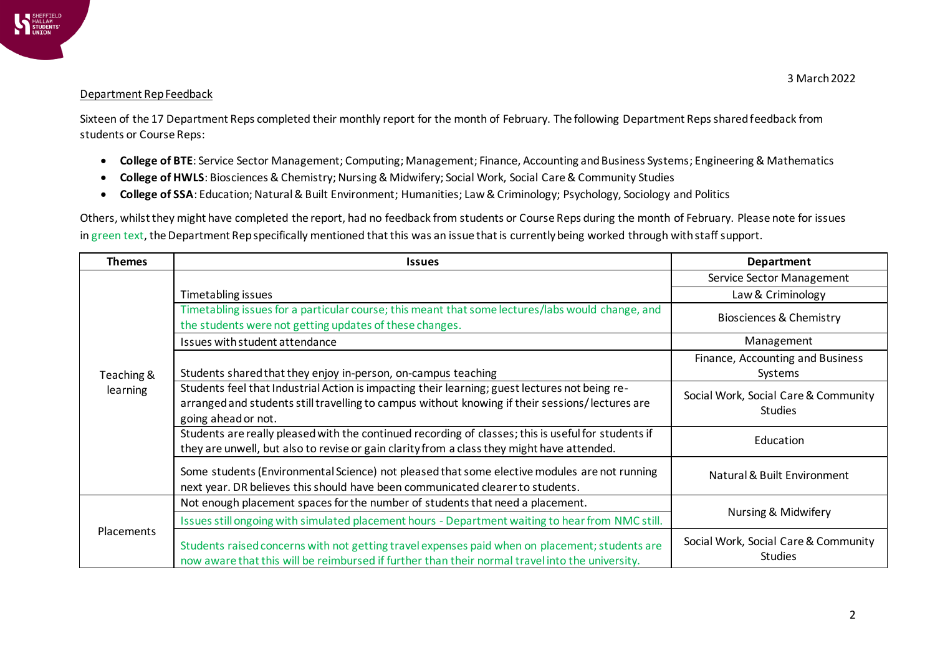

## Department Rep Feedback

Sixteen of the 17 Department Reps completed their monthly report for the month of February. The following Department Reps shared feedback from students or Course Reps:

- **College of BTE**: Service Sector Management; Computing; Management; Finance, Accounting and Business Systems; Engineering & Mathematics
- **College of HWLS**: Biosciences & Chemistry; Nursing & Midwifery; Social Work, Social Care & Community Studies
- **College of SSA**: Education; Natural & Built Environment; Humanities; Law & Criminology; Psychology, Sociology and Politics

Others, whilst they might have completed the report, had no feedback from students or Course Reps during the month of February. Please note for issues in green text, the Department Rep specifically mentioned that this was an issue that is currently being worked through with staff support.

| <b>Themes</b>          | <b>Issues</b>                                                                                                                                                                                                            | Department                                             |
|------------------------|--------------------------------------------------------------------------------------------------------------------------------------------------------------------------------------------------------------------------|--------------------------------------------------------|
| Teaching &<br>learning |                                                                                                                                                                                                                          | Service Sector Management                              |
|                        | Timetabling issues                                                                                                                                                                                                       | Law & Criminology                                      |
|                        | Timetabling issues for a particular course; this meant that some lectures/labs would change, and<br>the students were not getting updates of these changes.                                                              | <b>Biosciences &amp; Chemistry</b>                     |
|                        | Issues with student attendance                                                                                                                                                                                           | Management                                             |
|                        | Students shared that they enjoy in-person, on-campus teaching                                                                                                                                                            | Finance, Accounting and Business<br>Systems            |
|                        | Students feel that Industrial Action is impacting their learning; guest lectures not being re-<br>arranged and students still travelling to campus without knowing if their sessions/lectures are<br>going ahead or not. | Social Work, Social Care & Community<br><b>Studies</b> |
|                        | Students are really pleased with the continued recording of classes; this is useful for students if<br>they are unwell, but also to revise or gain clarity from a class they might have attended.                        | Education                                              |
|                        | Some students (Environmental Science) not pleased that some elective modules are not running<br>next year. DR believes this should have been communicated clearer to students.                                           | Natural & Built Environment                            |
| Placements             | Not enough placement spaces for the number of students that need a placement.                                                                                                                                            | Nursing & Midwifery                                    |
|                        | Issues still ongoing with simulated placement hours - Department waiting to hear from NMC still.                                                                                                                         |                                                        |
|                        | Students raised concerns with not getting travel expenses paid when on placement; students are<br>now aware that this will be reimbursed if further than their normal travel into the university.                        | Social Work, Social Care & Community<br><b>Studies</b> |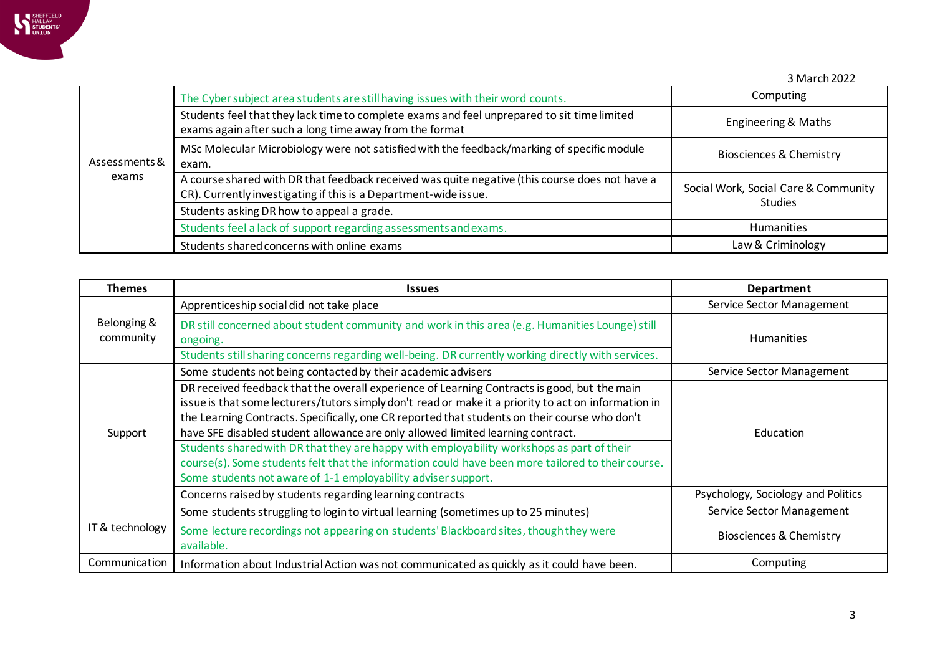

3 March 2022

| Assessments &<br>exams | The Cyber subject area students are still having issues with their word counts.                                                                                    | Computing                                              |
|------------------------|--------------------------------------------------------------------------------------------------------------------------------------------------------------------|--------------------------------------------------------|
|                        | Students feel that they lack time to complete exams and feel unprepared to sit time limited<br>exams again after such a long time away from the format             | Engineering & Maths                                    |
|                        | MSc Molecular Microbiology were not satisfied with the feedback/marking of specific module<br>exam.                                                                | Biosciences & Chemistry                                |
|                        | A course shared with DR that feedback received was quite negative (this course does not have a<br>CR). Currently investigating if this is a Department-wide issue. | Social Work, Social Care & Community<br><b>Studies</b> |
|                        | Students asking DR how to appeal a grade.                                                                                                                          |                                                        |
|                        | Students feel a lack of support regarding assessments and exams.                                                                                                   | <b>Humanities</b>                                      |
|                        | Students shared concerns with online exams                                                                                                                         | Law & Criminology                                      |

| <b>Themes</b>            | <b>Issues</b>                                                                                                                                                                                                                                                                                                                                                                                                                                                                                                                                                                                                                                               | <b>Department</b>                  |
|--------------------------|-------------------------------------------------------------------------------------------------------------------------------------------------------------------------------------------------------------------------------------------------------------------------------------------------------------------------------------------------------------------------------------------------------------------------------------------------------------------------------------------------------------------------------------------------------------------------------------------------------------------------------------------------------------|------------------------------------|
| Belonging &<br>community | Apprenticeship social did not take place                                                                                                                                                                                                                                                                                                                                                                                                                                                                                                                                                                                                                    | Service Sector Management          |
|                          | DR still concerned about student community and work in this area (e.g. Humanities Lounge) still<br>ongoing.                                                                                                                                                                                                                                                                                                                                                                                                                                                                                                                                                 | <b>Humanities</b>                  |
|                          | Students still sharing concerns regarding well-being. DR currently working directly with services.                                                                                                                                                                                                                                                                                                                                                                                                                                                                                                                                                          |                                    |
| Support                  | Some students not being contacted by their academic advisers                                                                                                                                                                                                                                                                                                                                                                                                                                                                                                                                                                                                | Service Sector Management          |
|                          | DR received feedback that the overall experience of Learning Contracts is good, but the main<br>issue is that some lecturers/tutors simply don't read or make it a priority to act on information in<br>the Learning Contracts. Specifically, one CR reported that students on their course who don't<br>have SFE disabled student allowance are only allowed limited learning contract.<br>Students shared with DR that they are happy with employability workshops as part of their<br>course(s). Some students felt that the information could have been more tailored to their course.<br>Some students not aware of 1-1 employability adviser support. | Education                          |
|                          | Concerns raised by students regarding learning contracts                                                                                                                                                                                                                                                                                                                                                                                                                                                                                                                                                                                                    | Psychology, Sociology and Politics |
| IT & technology          | Some students struggling to login to virtual learning (sometimes up to 25 minutes)                                                                                                                                                                                                                                                                                                                                                                                                                                                                                                                                                                          | Service Sector Management          |
|                          | Some lecture recordings not appearing on students' Blackboard sites, though they were<br>available.                                                                                                                                                                                                                                                                                                                                                                                                                                                                                                                                                         | <b>Biosciences &amp; Chemistry</b> |
| Communication            | Information about Industrial Action was not communicated as quickly as it could have been.                                                                                                                                                                                                                                                                                                                                                                                                                                                                                                                                                                  | Computing                          |